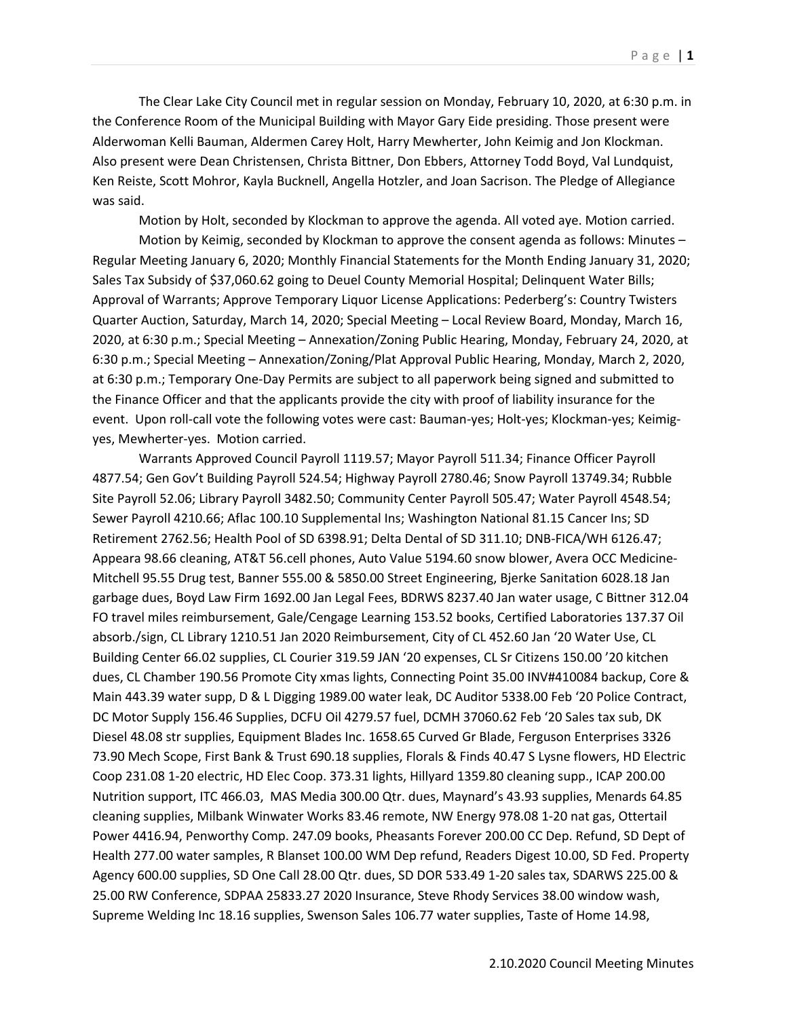The Clear Lake City Council met in regular session on Monday, February 10, 2020, at 6:30 p.m. in the Conference Room of the Municipal Building with Mayor Gary Eide presiding. Those present were Alderwoman Kelli Bauman, Aldermen Carey Holt, Harry Mewherter, John Keimig and Jon Klockman. Also present were Dean Christensen, Christa Bittner, Don Ebbers, Attorney Todd Boyd, Val Lundquist, Ken Reiste, Scott Mohror, Kayla Bucknell, Angella Hotzler, and Joan Sacrison. The Pledge of Allegiance was said.

Motion by Holt, seconded by Klockman to approve the agenda. All voted aye. Motion carried.

Motion by Keimig, seconded by Klockman to approve the consent agenda as follows: Minutes – Regular Meeting January 6, 2020; Monthly Financial Statements for the Month Ending January 31, 2020; Sales Tax Subsidy of \$37,060.62 going to Deuel County Memorial Hospital; Delinquent Water Bills; Approval of Warrants; Approve Temporary Liquor License Applications: Pederberg's: Country Twisters Quarter Auction, Saturday, March 14, 2020; Special Meeting – Local Review Board, Monday, March 16, 2020, at 6:30 p.m.; Special Meeting – Annexation/Zoning Public Hearing, Monday, February 24, 2020, at 6:30 p.m.; Special Meeting – Annexation/Zoning/Plat Approval Public Hearing, Monday, March 2, 2020, at 6:30 p.m.; Temporary One-Day Permits are subject to all paperwork being signed and submitted to the Finance Officer and that the applicants provide the city with proof of liability insurance for the event. Upon roll-call vote the following votes were cast: Bauman-yes; Holt-yes; Klockman-yes; Keimigyes, Mewherter-yes. Motion carried.

Warrants Approved Council Payroll 1119.57; Mayor Payroll 511.34; Finance Officer Payroll 4877.54; Gen Gov't Building Payroll 524.54; Highway Payroll 2780.46; Snow Payroll 13749.34; Rubble Site Payroll 52.06; Library Payroll 3482.50; Community Center Payroll 505.47; Water Payroll 4548.54; Sewer Payroll 4210.66; Aflac 100.10 Supplemental Ins; Washington National 81.15 Cancer Ins; SD Retirement 2762.56; Health Pool of SD 6398.91; Delta Dental of SD 311.10; DNB-FICA/WH 6126.47; Appeara 98.66 cleaning, AT&T 56.cell phones, Auto Value 5194.60 snow blower, Avera OCC Medicine-Mitchell 95.55 Drug test, Banner 555.00 & 5850.00 Street Engineering, Bjerke Sanitation 6028.18 Jan garbage dues, Boyd Law Firm 1692.00 Jan Legal Fees, BDRWS 8237.40 Jan water usage, C Bittner 312.04 FO travel miles reimbursement, Gale/Cengage Learning 153.52 books, Certified Laboratories 137.37 Oil absorb./sign, CL Library 1210.51 Jan 2020 Reimbursement, City of CL 452.60 Jan '20 Water Use, CL Building Center 66.02 supplies, CL Courier 319.59 JAN '20 expenses, CL Sr Citizens 150.00 '20 kitchen dues, CL Chamber 190.56 Promote City xmas lights, Connecting Point 35.00 INV#410084 backup, Core & Main 443.39 water supp, D & L Digging 1989.00 water leak, DC Auditor 5338.00 Feb '20 Police Contract, DC Motor Supply 156.46 Supplies, DCFU Oil 4279.57 fuel, DCMH 37060.62 Feb '20 Sales tax sub, DK Diesel 48.08 str supplies, Equipment Blades Inc. 1658.65 Curved Gr Blade, Ferguson Enterprises 3326 73.90 Mech Scope, First Bank & Trust 690.18 supplies, Florals & Finds 40.47 S Lysne flowers, HD Electric Coop 231.08 1-20 electric, HD Elec Coop. 373.31 lights, Hillyard 1359.80 cleaning supp., ICAP 200.00 Nutrition support, ITC 466.03, MAS Media 300.00 Qtr. dues, Maynard's 43.93 supplies, Menards 64.85 cleaning supplies, Milbank Winwater Works 83.46 remote, NW Energy 978.08 1-20 nat gas, Ottertail Power 4416.94, Penworthy Comp. 247.09 books, Pheasants Forever 200.00 CC Dep. Refund, SD Dept of Health 277.00 water samples, R Blanset 100.00 WM Dep refund, Readers Digest 10.00, SD Fed. Property Agency 600.00 supplies, SD One Call 28.00 Qtr. dues, SD DOR 533.49 1-20 sales tax, SDARWS 225.00 & 25.00 RW Conference, SDPAA 25833.27 2020 Insurance, Steve Rhody Services 38.00 window wash, Supreme Welding Inc 18.16 supplies, Swenson Sales 106.77 water supplies, Taste of Home 14.98,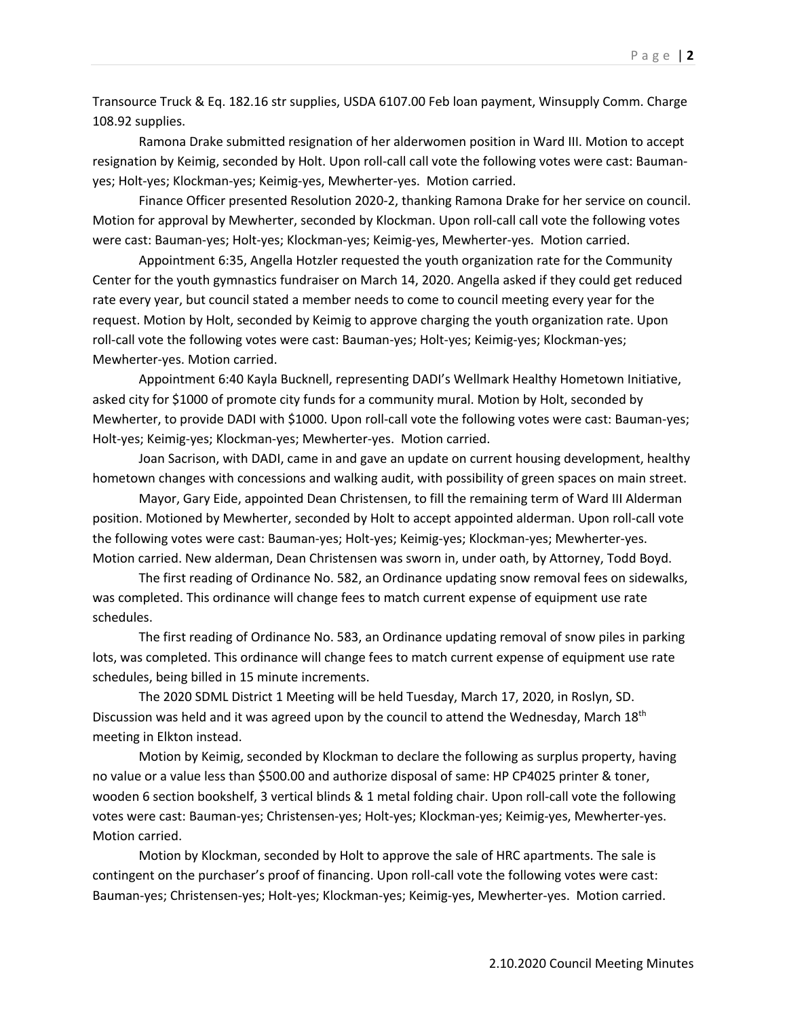Transource Truck & Eq. 182.16 str supplies, USDA 6107.00 Feb loan payment, Winsupply Comm. Charge 108.92 supplies.

Ramona Drake submitted resignation of her alderwomen position in Ward III. Motion to accept resignation by Keimig, seconded by Holt. Upon roll-call call vote the following votes were cast: Baumanyes; Holt-yes; Klockman-yes; Keimig-yes, Mewherter-yes. Motion carried.

Finance Officer presented Resolution 2020-2, thanking Ramona Drake for her service on council. Motion for approval by Mewherter, seconded by Klockman. Upon roll-call call vote the following votes were cast: Bauman-yes; Holt-yes; Klockman-yes; Keimig-yes, Mewherter-yes. Motion carried.

Appointment 6:35, Angella Hotzler requested the youth organization rate for the Community Center for the youth gymnastics fundraiser on March 14, 2020. Angella asked if they could get reduced rate every year, but council stated a member needs to come to council meeting every year for the request. Motion by Holt, seconded by Keimig to approve charging the youth organization rate. Upon roll-call vote the following votes were cast: Bauman-yes; Holt-yes; Keimig-yes; Klockman-yes; Mewherter-yes. Motion carried.

Appointment 6:40 Kayla Bucknell, representing DADI's Wellmark Healthy Hometown Initiative, asked city for \$1000 of promote city funds for a community mural. Motion by Holt, seconded by Mewherter, to provide DADI with \$1000. Upon roll-call vote the following votes were cast: Bauman-yes; Holt-yes; Keimig-yes; Klockman-yes; Mewherter-yes. Motion carried.

Joan Sacrison, with DADI, came in and gave an update on current housing development, healthy hometown changes with concessions and walking audit, with possibility of green spaces on main street.

Mayor, Gary Eide, appointed Dean Christensen, to fill the remaining term of Ward III Alderman position. Motioned by Mewherter, seconded by Holt to accept appointed alderman. Upon roll-call vote the following votes were cast: Bauman-yes; Holt-yes; Keimig-yes; Klockman-yes; Mewherter-yes. Motion carried. New alderman, Dean Christensen was sworn in, under oath, by Attorney, Todd Boyd.

The first reading of Ordinance No. 582, an Ordinance updating snow removal fees on sidewalks, was completed. This ordinance will change fees to match current expense of equipment use rate schedules.

The first reading of Ordinance No. 583, an Ordinance updating removal of snow piles in parking lots, was completed. This ordinance will change fees to match current expense of equipment use rate schedules, being billed in 15 minute increments.

The 2020 SDML District 1 Meeting will be held Tuesday, March 17, 2020, in Roslyn, SD. Discussion was held and it was agreed upon by the council to attend the Wednesday, March  $18<sup>th</sup>$ meeting in Elkton instead.

Motion by Keimig, seconded by Klockman to declare the following as surplus property, having no value or a value less than \$500.00 and authorize disposal of same: HP CP4025 printer & toner, wooden 6 section bookshelf, 3 vertical blinds & 1 metal folding chair. Upon roll-call vote the following votes were cast: Bauman-yes; Christensen-yes; Holt-yes; Klockman-yes; Keimig-yes, Mewherter-yes. Motion carried.

Motion by Klockman, seconded by Holt to approve the sale of HRC apartments. The sale is contingent on the purchaser's proof of financing. Upon roll-call vote the following votes were cast: Bauman-yes; Christensen-yes; Holt-yes; Klockman-yes; Keimig-yes, Mewherter-yes. Motion carried.